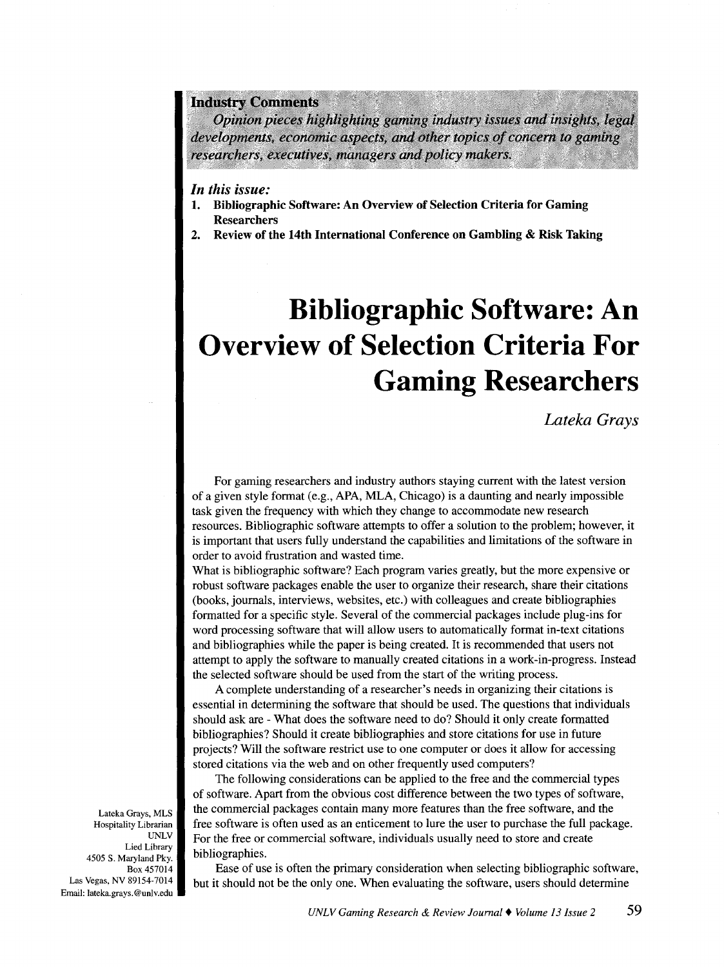### **Industry Comments**

Opinion pieces highlighting gaming industry issues and insights, legal developments, economic aspects, and other topics of concern to gaming researchers, executives, managers and policy makers.

## *In this issue:*

- **1. Bibliographic Software: An Overview of Selection Criteria for Gaming Researchers**
- **2. Review of the 14th International Conference on Gambling & Risk Taking**

# **Bibliographic Software: An Overview of Selection Criteria For Gaming Researchers**

*Lateka Grays* 

For gaming researchers and industry authors staying current with the latest version of a given style format (e.g., APA, MLA, Chicago) is a daunting and nearly impossible task given the frequency with which they change to accommodate new research resources. Bibliographic software attempts to offer a solution to the problem; however, it is important that users fully understand the capabilities and limitations of the software in order to avoid frustration and wasted time.

What is bibliographic software? Each program varies greatly, but the more expensive or robust software packages enable the user to organize their research, share their citations (books, journals, interviews, websites, etc.) with colleagues and create bibliographies formatted for a specific style. Several of the commercial packages include plug-ins for word processing software that will allow users to automatically format in-text citations and bibliographies while the paper is being created. It is recommended that users not attempt to apply the software to manually created citations in a work-in-progress. Instead the selected software should be used from the start of the writing process.

A complete understanding of a researcher's needs in organizing their citations is essential in determining the software that should be used. The questions that individuals should ask are -What does the software need to do? Should it only create formatted bibliographies? Should it create bibliographies and store citations for use in future projects? Will the software restrict use to one computer or does it allow for accessing stored citations via the web and on other frequently used computers?

The following considerations can be applied to the free and the commercial types of software. Apart from the obvious cost difference between the two types of software, the commercial packages contain many more features than the free software, and the free software is often used as an enticement to lure the user to purchase the full package. For the free or commercial software, individuals usually need to store and create bibliographies.

Ease of use is often the primary consideration when selecting bibliographic software, but it should not be the only one. When evaluating the software, users should determine

Lateka Grays, MLS Hospitality Librarian UNLV Lied Library 4505 S. Maryland Pky. Box457014 Las Vegas, NV 89154-7014 Email: lateka.grays.@unlv.edu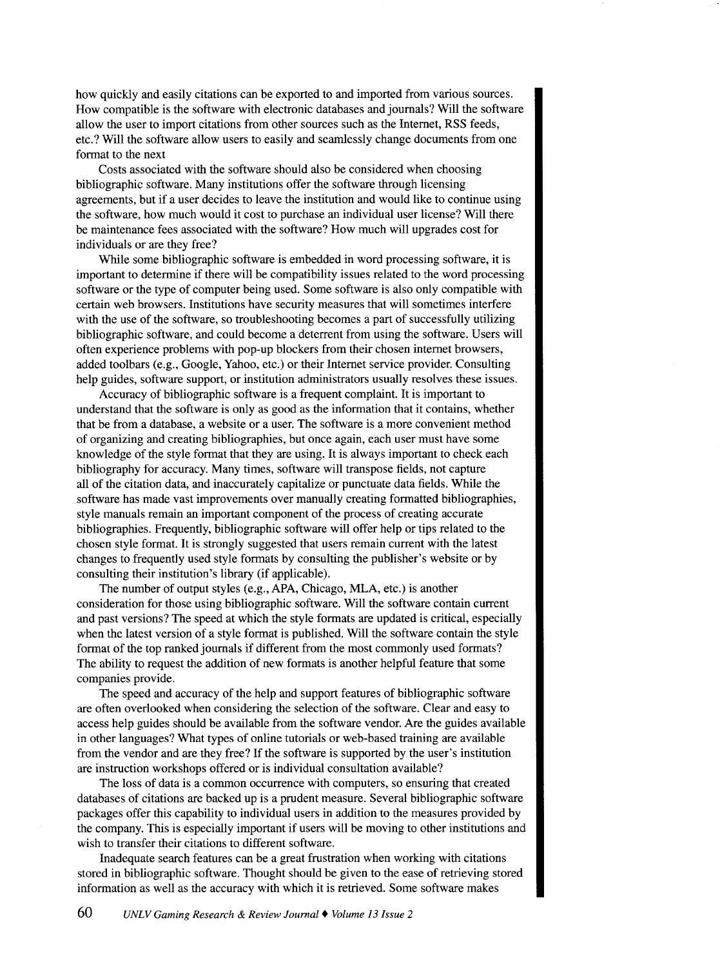how quickly and easily citations can be exported to and imported from various sources. How compatible is the software with electronic databases and journals? Will the software allow the user to import citations from other sources such as the Internet, RSS feeds, etc.? Will the software allow users to easily and seamlessly change documents from one format to the next

Costs associated with the software should also be considered when choosing bibliographic software. Many institutions offer the software through licensing agreements, but if a user decides to leave the institution and would like to continue using the software, how much would it cost to purchase an individual user license? Will there be maintenance fees associated with the software? How much will upgrades cost for individuals or are they free?

While some bibliographic software is embedded in word processing software, it is important to determine if there will be compatibility issues related to the word processing software or the type of computer being used. Some software is also only compatible with certain web browsers. Institutions have security measures that will sometimes interfere with the use of the software, so troubleshooting becomes a part of successfully utilizing bibliographic software, and could become a deterrent from using the software. Users will often experience problems with pop-up blockers from their chosen internet browsers, added toolbars (e.g., Google, Yahoo, etc.) or their Internet service provider. Consulting help guides, software support, or institution administrators usually resolves these issues.

Accuracy of bibliographic software is a frequent complaint. It is important to understand that the software is only as good as the information that it contains, whether that be from a database, a website or a user. The software is a more convenient method of organizing and creating bibliographies, but once again, each user must have some knowledge of the style format that they are using. It is always important to check each bibliography for accuracy. Many times, software will transpose fields, not capture all of the citation data, and inaccurately capitalize or punctuate data fields. While the software has made vast improvements over manually creating formatted bibliographies, style manuals remain an important component of the process of creating accurate bibliographies. Frequently, bibliographic software will offer help or tips related to the chosen style format. It is strongly suggested that users remain current with the latest changes to frequently used style formats by consulting the publisher's website or by consulting their institution's library (if applicable).

The number of output styles (e.g., APA, Chicago, MLA, etc.) is another consideration for those using bibliographic software. Will the software contain current and past versions? The speed at which the style formats are updated is critical, especially when the latest version of a style format is published. Will the software contain the style format of the top ranked journals if different from the most commonly used formats? The ability to request the addition of new formats is another helpful feature that some companies provide.

The speed and accuracy of the help and support features of bibliographic software are often overlooked when considering the selection of the software. Clear and easy to access help guides should be available from the software vendor. Are the guides available in other languages? What types of online tutorials or web-based training are available from the vendor and are they free? If the software is supported by the user's institution are instruction workshops offered or is individual consultation available?

The loss of data is a common occurrence with computers, so ensuring that created databases of citations are backed up is a prudent measure. Several bibliographic software packages offer this capability to individual users in addition to the measures provided by the company. This is especially important if users will be moving to other institutions and wish to transfer their citations to different software.

Inadequate search features can be a great frustration when working with citations stored in bibliographic software. Thought should be given to the ease of retrieving stored information as well as the accuracy with which it is retrieved. Some software makes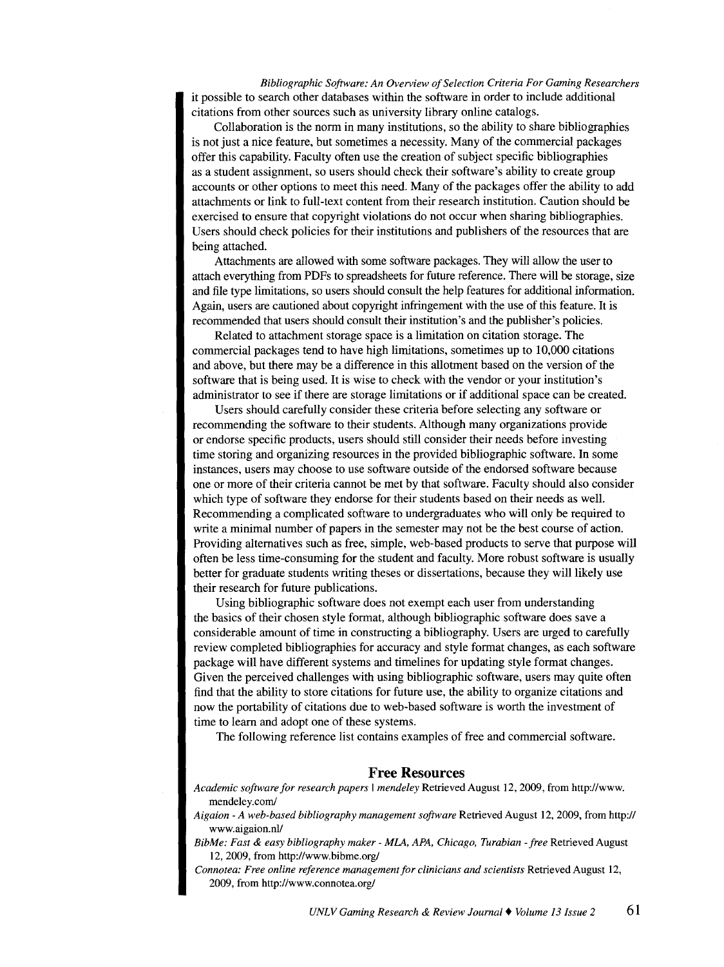*Bibliographic Software: An Overview of Selection Criteria For Gaming Researchers*  it possible to search other databases within the software in order to include additional citations from other sources such as university library online catalogs.

Collaboration is the norm in many institutions, so the ability to share bibliographies is not just a nice feature, but sometimes a necessity. Many of the commercial packages offer this capability. Faculty often use the creation of subject specific bibliographies as a student assignment, so users should check their software's ability to create group accounts or other options to meet this need. Many of the packages offer the ability to add attachments or link to full-text content from their research institution. Caution should be exercised to ensure that copyright violations do not occur when sharing bibliographies. Users should check policies for their institutions and publishers of the resources that are being attached.

Attachments are allowed with some software packages. They will allow the user to attach everything from PDFs to spreadsheets for future reference. There will be storage, size and file type limitations, so users should consult the help features for additional information. Again, users are cautioned about copyright infringement with the use of this feature. It is recommended that users should consult their institution's and the publisher's policies.

Related to attachment storage space is a limitation on citation storage. The commercial packages tend to have high limitations, sometimes up to 10,000 citations and above, but there may be a difference in this allotment based on the version of the software that is being used. It is wise to check with the vendor or your institution's administrator to see if there are storage limitations or if additional space can be created.

Users should carefully consider these criteria before selecting any software or recommending the software to their students. Although many organizations provide or endorse specific products, users should still consider their needs before investing time storing and organizing resources in the provided bibliographic software. In some instances, users may choose to use software outside of the endorsed software because one or more of their criteria cannot be met by that software. Faculty should also consider which type of software they endorse for their students based on their needs as well. Recommending a complicated software to undergraduates who will only be required to write a minimal number of papers in the semester may not be the best course of action. Providing alternatives such as free, simple, web-based products to serve that purpose will often be less time-consuming for the student and faculty. More robust software is usually better for graduate students writing theses or dissertations, because they will likely use their research for future publications.

Using bibliographic software does not exempt each user from understanding the basics of their chosen style format, although bibliographic software does save a considerable amount of time in constructing a bibliography. Users are urged to carefully review completed bibliographies for accuracy and style format changes, as each software package will have different systems and timelines for updating style format changes. Given the perceived challenges with using bibliographic software, users may quite often find that the ability to store citations for future use, the ability to organize citations and now the portability of citations due to web-based software is worth the investment of time to learn and adopt one of these systems.

The following reference list contains examples of free and commercial software.

#### **Free Resources**

- *Academic software for research papers* I *mendeley* Retrieved August 12, 2009, from http://www. mendeley.com/
- *Aigaion -A web-based bibliography management software* Retrieved August 12, 2009, from http:// www.aigaion.nl/
- *Bib Me: Fast* & *easy bibliography maker- MLA, APA, Chicago, Turabian -free* Retrieved August 12, 2009, from http://www.bibme.org/
- *Connotea: Free online reference management for clinicians and scientists* Retrieved August 12, 2009, from http://www.connotea.org/